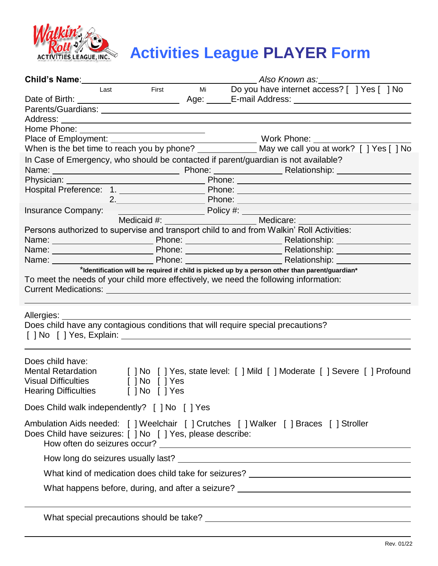

## *Roll***<sup>2</sup>/<sub>ACtivities League PLAYER Form**</sub>

|                                                                                                     |                                  |  | <b>Child's Name:</b> Also Known as:                                                                                                                                                                                                                 |
|-----------------------------------------------------------------------------------------------------|----------------------------------|--|-----------------------------------------------------------------------------------------------------------------------------------------------------------------------------------------------------------------------------------------------------|
|                                                                                                     |                                  |  | Last First Mi Do you have internet access? [ ] Yes [ ] No                                                                                                                                                                                           |
|                                                                                                     |                                  |  |                                                                                                                                                                                                                                                     |
|                                                                                                     |                                  |  |                                                                                                                                                                                                                                                     |
|                                                                                                     |                                  |  |                                                                                                                                                                                                                                                     |
|                                                                                                     |                                  |  |                                                                                                                                                                                                                                                     |
|                                                                                                     |                                  |  |                                                                                                                                                                                                                                                     |
|                                                                                                     |                                  |  |                                                                                                                                                                                                                                                     |
|                                                                                                     |                                  |  | In Case of Emergency, who should be contacted if parent/guardian is not available?                                                                                                                                                                  |
|                                                                                                     |                                  |  |                                                                                                                                                                                                                                                     |
|                                                                                                     |                                  |  |                                                                                                                                                                                                                                                     |
|                                                                                                     |                                  |  | Hospital Preference: 1. _________________________Phone: ________________________                                                                                                                                                                    |
|                                                                                                     |                                  |  |                                                                                                                                                                                                                                                     |
|                                                                                                     |                                  |  |                                                                                                                                                                                                                                                     |
|                                                                                                     |                                  |  |                                                                                                                                                                                                                                                     |
|                                                                                                     |                                  |  | Persons authorized to supervise and transport child to and from Walkin' Roll Activities:                                                                                                                                                            |
|                                                                                                     |                                  |  | Name:<br>Name:<br>Name:<br>Name:<br>Name:<br>Phone:<br>Phone:<br>Phone:<br>Phone:<br>Phone:<br>Phone:<br>Phone:<br>Relationship:<br>Relationship:<br>Relationship:                                                                                  |
|                                                                                                     |                                  |  |                                                                                                                                                                                                                                                     |
|                                                                                                     |                                  |  | *Identification will be required if child is picked up by a person other than parent/guardian*                                                                                                                                                      |
|                                                                                                     |                                  |  | Current Medications: Network of the Current Medications:                                                                                                                                                                                            |
|                                                                                                     |                                  |  | Does child have any contagious conditions that will require special precautions?                                                                                                                                                                    |
| Does child have:<br>Mental Retardation<br><b>Visual Difficulties</b><br><b>Hearing Difficulties</b> | [ ] No [ ] Yes<br>[ ] No [ ] Yes |  | [ ] No [ ] Yes, state level: [ ] Mild [ ] Moderate [ ] Severe [ ] Profound                                                                                                                                                                          |
| Does Child walk independently? [ ] No [ ] Yes                                                       |                                  |  |                                                                                                                                                                                                                                                     |
| Does Child have seizures: [ ] No [ ] Yes, please describe:                                          |                                  |  | Ambulation Aids needed: [ ] Weelchair [ ] Crutches [ ] Walker [ ] Braces [ ] Stroller<br>How often do seizures occur?<br><u> and the manufacture of the manufacture of the manufacture of the manufacture</u> of the manufacture of the manufacture |
|                                                                                                     |                                  |  |                                                                                                                                                                                                                                                     |
|                                                                                                     |                                  |  | What kind of medication does child take for seizures? ___________________________                                                                                                                                                                   |
|                                                                                                     |                                  |  | What happens before, during, and after a seizure? ______________________________                                                                                                                                                                    |
|                                                                                                     |                                  |  |                                                                                                                                                                                                                                                     |